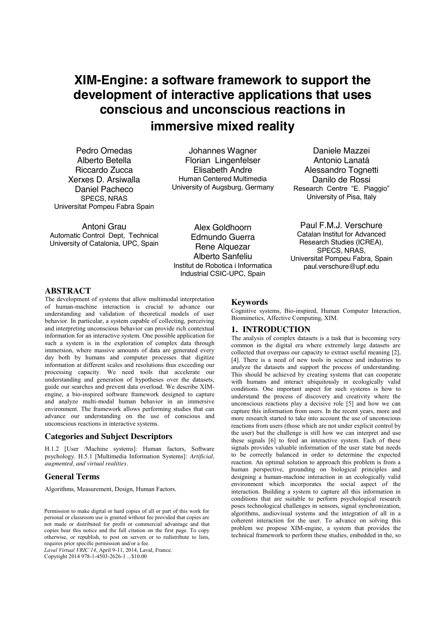# **XIM-Engine: a software framework to support the development of interactive applications that uses conscious and unconscious reactions in immersive mixed reality**

Pedro Omedas Alberto Betella Riccardo Zucca Xerxes D. Arsiwalla Daniel Pacheco SPECS, NRAS Universitat Pompeu Fabra Spain

Johannes Wagner Florian Lingenfelser Elisabeth Andre Human Centered Multimedia University of Augsburg, Germany

Daniele Mazzei Antonio Lanatá Alessandro Tognetti Danilo de Rossi Research Centre "E. Piaggio" University of Pisa, Italy

Antoni Grau Automatic Control Dept, Technical University of Catalonia, UPC, Spain

Alex Goldhoorn Edmundo Guerra Rene Alquezar Alberto Sanfeliu Institut de Robotica i Informatica Industrial CSIC-UPC, Spain

Paul F.M.J. Verschure Catalan Institut for Advanced Research Studies (ICREA), SPECS, NRAS, Universitat Pompeu Fabra, Spain paul.verschure@upf.edu

## **ABSTRACT**

The development of systems that allow multimodal interpretation of human-machine interaction is crucial to advance our understanding and validation of theoretical models of user behavior. In particular, a system capable of collecting, perceiving and interpreting unconscious behavior can provide rich contextual information for an interactive system. One possible application for such a system is in the exploration of complex data through immersion, where massive amounts of data are generated every day both by humans and computer processes that digitize information at different scales and resolutions thus exceeding our processing capacity. We need tools that accelerate our understanding and generation of hypotheses over the datasets, guide our searches and prevent data overload. We describe XIMengine, a bio-inspired software framework designed to capture and analyze multi-modal human behavior in an immersive environment. The framework allows performing studies that can advance our understanding on the use of conscious and unconscious reactions in interactive systems.

### **Categories and Subject Descriptors**

H.1.2 [User /Machine systems]: Human factors, Software psychology. H.5.1 [Multimedia Information Systems]: *Artificial, augmented, and virtual realities.*

## **General Terms**

Algorithms, Measurement, Design, Human Factors.

Permission to make digital or hard copies of all or part of this work for personal or classroom use is granted without fee provided that copies are not made or distributed for profit or commercial advantage and that copies bear this notice and the full citation on the first page. To copy otherwise, or republish, to post on servers or to redistribute to lists, requires prior specific permission and/or a fee.

*Laval Virtual VRIC'14*, April 9-11, 2014, Laval, France. Copyright 2014 978-1-4503-2626-1 ...\$10.00

#### **Keywords**

Cognitive systems, Bio-inspired, Human Computer Interaction, Biomimetics, Affective Computing, XIM.

## **1. INTRODUCTION**

The analysis of complex datasets is a task that is becoming very common in the digital era where extremely large datasets are collected that overpass our capacity to extract useful meaning [2], [4]. There is a need of new tools in science and industries to analyze the datasets and support the process of understanding. This should be achieved by creating systems that can cooperate with humans and interact ubiquitously in ecologically valid conditions. One important aspect for such systems is how to understand the process of discovery and creativity where the unconscious reactions play a decisive role [5] and how we can capture this information from users. In the recent years, more and more research started to take into account the use of unconscious reactions from users (those which are not under explicit control by the user) but the challenge is still how we can interpret and use these signals [6] to feed an interactive system. Each of these signals provides valuable information of the user state but needs to be correctly balanced in order to determine the expected reaction. An optimal solution to approach this problem is from a human perspective, grounding on biological principles and designing a human-machine interaction in an ecologically valid environment which incorporates the social aspect of the interaction. Building a system to capture all this information in conditions that are suitable to perform psychological research poses technological challenges in sensors, signal synchronization, algorithms, audiovisual systems and the integration of all in a coherent interaction for the user. To advance on solving this problem we propose XIM-engine, a system that provides the technical framework to perform these studies, embedded in the, so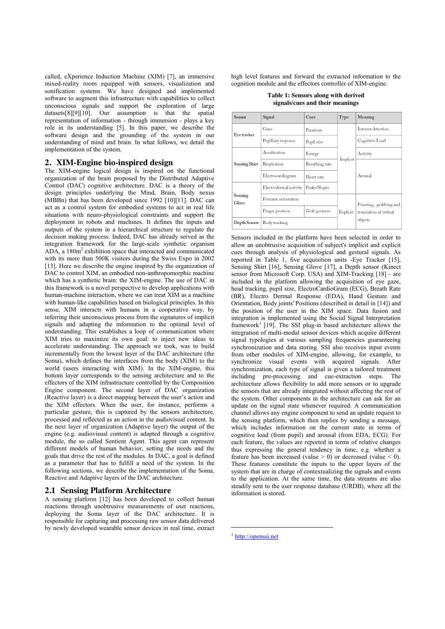called, eXperience Induction Machine (XIM) [7], an immersive mixed-reality room equipped with sensors, visualization and sonification systems. We have designed and implemented software to augment this infrastructure with capabilities to collect unconscious signals and support the exploration of large datasets[8][9][10]. Our assumption is that the spatial representation of information - through immersion - plays a key role in its understanding [5]. In this paper, we describe the software design and the grounding of the system in our understanding of mind and brain. In what follows, we detail the implementation of the system.

#### **2. XIM-Engine bio-inspired design**

The XIM-engine logical design is inspired on the functional organization of the brain proposed by the Distributed Adaptive Control (DAC) cognitive architecture. DAC is a theory of the design principles underlying the Mind, Brain, Body nexus (MBBn) that has been developed since 1992 [10][11]. DAC can act as a control system for embodied systems to act in real life situations with neuro-physiological constraints and support the deployment in robots and machines. It defines the inputs and outputs of the system in a hierarchical structure to regulate the decision making process. Indeed, DAC has already served as the integration framework for the large-scale synthetic organism ADA, a 180m2 exhibition space that interacted and communicated with its more than 500K visitors during the Swiss Expo in 2002 [13]. Here we describe the engine inspired by the organization of DAC to control XIM, an embodied non-anthropomorphic machine which has a synthetic brain: the XIM-engine. The use of DAC in this framework is a novel perspective to develop applications with human-machine interaction, where we can treat XIM as a machine with human-like capabilities based on biological principles. In this sense, XIM interacts with humans in a cooperative way, by inferring their unconscious process from the signatures of implicit signals and adapting the information to the optimal level of understanding. This establishes a loop of communication where XIM tries to maximize its own goal: to inject new ideas to accelerate understanding. The approach we took, was to build incrementally from the lowest layer of the DAC architecture (the Soma), which defines the interfaces from the body (XIM) to the world (users interacting with XIM). In the XIM-engine, this bottom layer corresponds to the sensing architecture and to the effectors of the XIM infrastructure controlled by the Composition Engine component. The second layer of DAC organization (Reactive layer) is a direct mapping between the user's action and the XIM effectors. When the user, for instance, performs a particular gesture, this is captured by the sensors architecture, processed and reflected as an action in the audiovisual content. In the next layer of organization (Adaptive layer) the output of the engine (e.g. audiovisual content) is adapted through a cognitive module, the so called Sentient Agent. This agent can represent different models of human behavior, setting the needs and the goals that drive the rest of the modules. In DAC, a goal is defined as a parameter that has to fulfill a need of the system. In the following sections, we describe the implementation of the Soma, Reactive and Adaptive layers of the DAC architecture.

#### **2.1 Sensing Platform Architecture**

A sensing platform [12] has been developed to collect human reactions through unobtrusive measurements of user reactions, deploying the Soma layer of the DAC architecture. It is responsible for capturing and processing raw sensor data delivered by newly developed wearable sensor devices in real time, extract high level features and forward the extracted information to the cognition module and the effectors controller of XIM-engine.

| Table 1: Sensors along with derived |  |
|-------------------------------------|--|
| signals/cues and their meanings     |  |

| Sensor                            | Signal                 | Cues           | Type     | Meaning                           |
|-----------------------------------|------------------------|----------------|----------|-----------------------------------|
| Eye tracker                       | Gaze                   | Fixations      | Implicit | Interest detection                |
|                                   | Pupillary response     | Pupil size     |          | Cognitive Load                    |
| Sensing Shirt<br>Sensing<br>Glove | Acceleration           | Energy         |          | Activity                          |
|                                   | Respiration            | Breathing rate |          | Arousal                           |
|                                   | Electrocardiogram      | Heart rate     |          |                                   |
|                                   | Electrodermal activity | Peaks/Slopes   |          |                                   |
|                                   | Forearm orientation    |                |          | Pointing, grabbing and            |
|                                   | Finger position        | Grab gestures  | Explicit | translation of virtual<br>objects |
| Depth Sensor                      | Body tracking          |                |          |                                   |

Sensors included in the platform have been selected in order to allow an unobtrusive acquisition of subject's implicit and explicit cues through analysis of physiological and gestural signals. As reported in Table 1, five acquisition units -Eye Tracker [15], Sensing Shirt [16], Sensing Glove [17], a Depth sensor (Kinect sensor from Microsoft Corp. USA) and XIM-Tracking [18] - are included in the platform allowing the acquisition of eye gaze, head tracking, pupil size, ElectroCardioGram (ECG), Breath Rate (BR), Electro Dermal Response (EDA), Hand Gesture and Orientation, Body joints' Positions (described in detail in [14]) and the position of the user in the XIM space. Data fusion and integration is implemented using the Social Signal Interpretation framework<sup>1</sup> [19]. The SSI plug-in based architecture allows the integration of multi-modal sensor devices which acquire different signal typologies at various sampling frequencies guaranteeing synchronization and data storing. SSI also receives input events from other modules of XIM-engine, allowing, for example, to synchronize visual events with acquired signals. After synchronization, each type of signal is given a tailored treatment including pre-processing and cue-extraction steps. The architecture allows flexibility to add more sensors or to upgrade the sensors that are already integrated without affecting the rest of the system. Other components in the architecture can ask for an update on the signal state whenever required. A communication channel allows any engine component to send an update request to the sensing platform, which then replies by sending a message, which includes information on the current state in terms of cognitive load (from pupil) and arousal (from EDA, ECG). For each feature, the values are reported in terms of relative changes thus expressing the general tendency in time, e.g. whether a feature has been increased (value  $> 0$ ) or decreased (value  $< 0$ ). These features constitute the inputs to the upper layers of the system that are in charge of contextualizing the signals and events to the application. At the same time, the data streams are also steadily sent to the user response database (URDB), where all the information is stored.

<u>.</u>

<sup>1</sup> http://openssi.net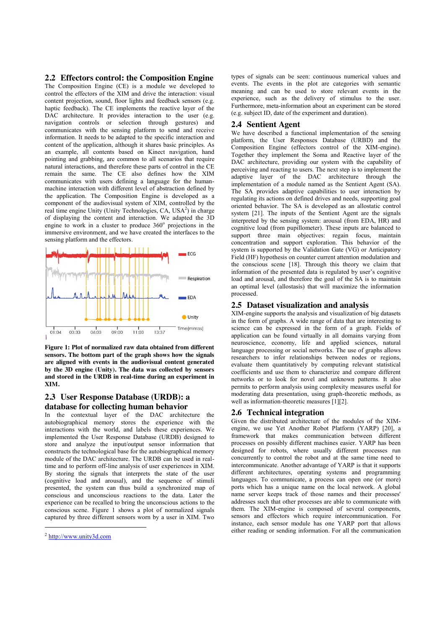**2.2 Effectors control: the Composition Engine** 

The Composition Engine (CE) is a module we developed to control the effectors of the XIM and drive the interaction: visual content projection, sound, floor lights and feedback sensors (e.g. haptic feedback). The CE implements the reactive layer of the DAC architecture. It provides interaction to the user (e.g. navigation controls or selection through gestures) and communicates with the sensing platform to send and receive information. It needs to be adapted to the specific interaction and content of the application, although it shares basic principles. As an example, all contents based on Kinect navigation, hand pointing and grabbing, are common to all scenarios that require natural interactions, and therefore these parts of control in the CE remain the same. The CE also defines how the XIM communicates with users defining a language for the humanmachine interaction with different level of abstraction defined by the application. The Composition Engine is developed as a component of the audiovisual system of XIM, controlled by the real time engine Unity (Unity Technologies, CA, USA<sup>2</sup>) in charge of displaying the content and interaction. We adapted the 3D engine to work in a cluster to produce  $360^\circ$  projections in the immersive environment, and we have created the interfaces to the sensing platform and the effectors.



**Figure 1: Plot of normalized raw data obtained from different sensors. The bottom part of the graph shows how the signals are aligned with events in the audiovisual content generated by the 3D engine (Unity). The data was collected by sensors and stored in the URDB in real-time during an experiment in XIM.** 

## **2.3 User Response Database (URDB): a database for collecting human behavior**

In the contextual layer of the DAC architecture the autobiographical memory stores the experience with the interactions with the world, and labels these experiences. We implemented the User Response Database (URDB) designed to store and analyze the input/output sensor information that constructs the technological base for the autobiographical memory module of the DAC architecture. The URDB can be used in realtime and to perform off-line analysis of user experiences in XIM. By storing the signals that interprets the state of the user (cognitive load and arousal), and the sequence of stimuli presented, the system can thus build a synchronized map of conscious and unconscious reactions to the data. Later the experience can be recalled to bring the unconscious actions to the conscious scene. Figure 1 shows a plot of normalized signals captured by three different sensors worn by a user in XIM. Two

<u>.</u>

types of signals can be seen: continuous numerical values and events. The events in the plot are categories with semantic meaning and can be used to store relevant events in the experience, such as the delivery of stimulus to the user. Furthermore, meta-information about an experiment can be stored (e.g. subject ID, date of the experiment and duration).

#### **2.4 Sentient Agent**

We have described a functional implementation of the sensing platform, the User Responses Database (URBD) and the Composition Engine (effectors control of the XIM-engine). Together they implement the Soma and Reactive layer of the DAC architecture, providing our system with the capability of perceiving and reacting to users. The next step is to implement the adaptive layer of the DAC architecture through the implementation of a module named as the Sentient Agent (SA). The SA provides adaptive capabilities to user interaction by regulating its actions on defined drives and needs, supporting goal oriented behavior. The SA is developed as an allostatic control system [21]. The inputs of the Sentient Agent are the signals interpreted by the sensing system: arousal (from EDA, HR) and cognitive load (from pupillometer). These inputs are balanced to support three main objectives: regain focus, maintain concentration and support exploration. This behavior of the system is supported by the Validation Gate (VG) or Anticipatory Field (HF) hypothesis on counter current attention modulation and the conscious scene [18]. Through this theory we claim that information of the presented data is regulated by user's cognitive load and arousal, and therefore the goal of the SA is to maintain an optimal level (allostasis) that will maximize the information processed.

#### **2.5 Dataset visualization and analysis**

XIM-engine supports the analysis and visualization of big datasets in the form of graphs. A wide range of data that are interesting to science can be expressed in the form of a graph. Fields of application can be found virtually in all domains varying from neuroscience, economy, life and applied sciences, natural language processing or social networks. The use of graphs allows researchers to infer relationships between nodes or regions, evaluate them quantitatively by computing relevant statistical coefficients and use them to characterize and compare different networks or to look for novel and unknown patterns. It also permits to perform analysis using complexity measures useful for moderating data presentation, using graph-theoretic methods, as well as information-theoretic measures [1][2].

## **2.6 Technical integration**

Given the distributed architecture of the modules of the XIMengine, we use Yet Another Robot Platform (YARP) [20], a framework that makes communication between different processes on possibly different machines easier. YARP has been designed for robots, where usually different processes run concurrently to control the robot and at the same time need to intercommunicate. Another advantage of YARP is that it supports different architectures, operating systems and programming languages. To communicate, a process can open one (or more) ports which has a unique name on the local network. A global name server keeps track of those names and their processes' addresses such that other processes are able to communicate with them. The XIM-engine is composed of several components, sensors and effectors which require intercommunication. For instance, each sensor module has one YARP port that allows either reading or sending information. For all the communication

<sup>2</sup> http://www.unity3d.com